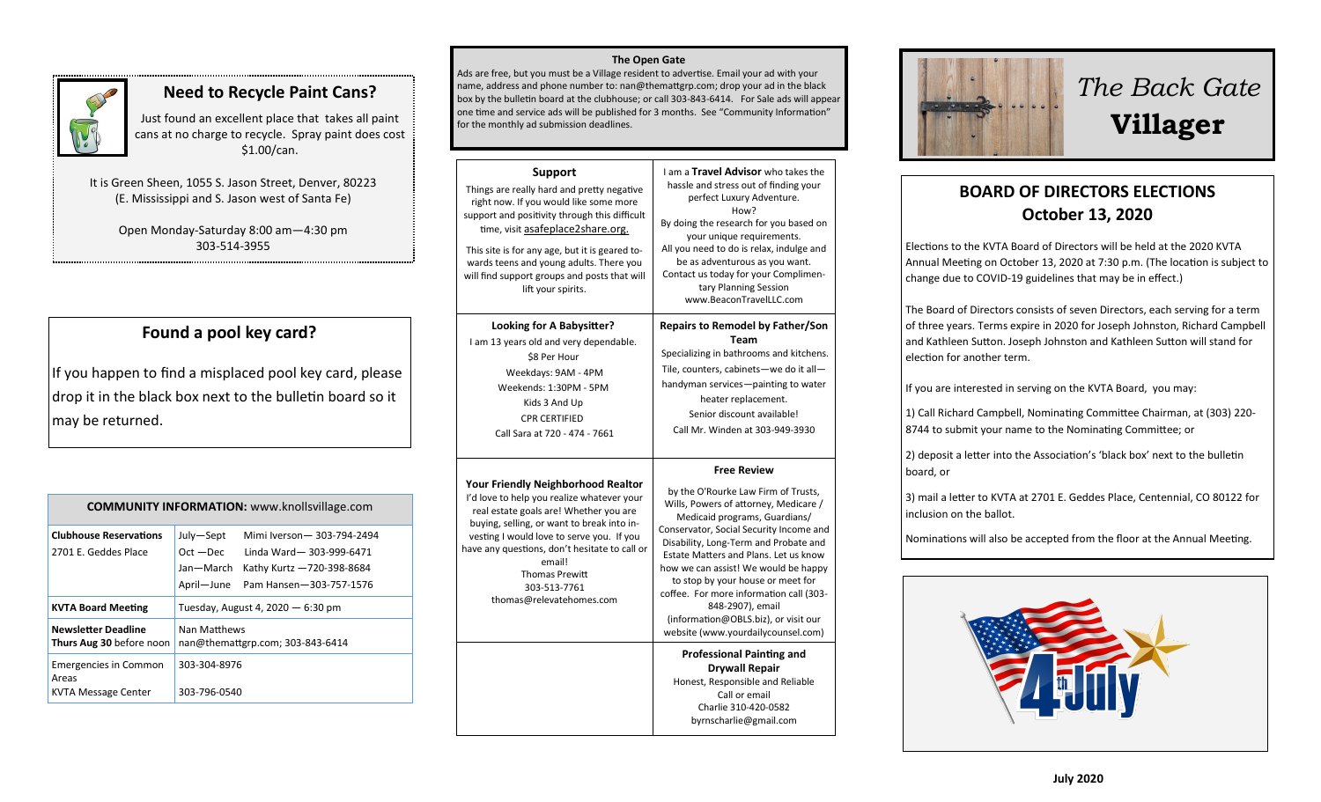

### **Need to Recycle Paint Cans?**

Just found an excellent place that takes all paint cans at no charge to recycle. Spray paint does cost \$1.00/can.

It is Green Sheen, 1055 S. Jason Street, Denver, 80223 (E. Mississippi and S. Jason west of Santa Fe)

> Open Monday-Saturday 8:00 am—4:30 pm 303-514-3955

## **Found a pool key card?**

If you happen to find a misplaced pool key card, please drop it in the black box next to the bulletin board so it may be returned.

| <b>COMMUNITY INFORMATION:</b> www.knollsvillage.com          |                                                                                                                                                                       |  |
|--------------------------------------------------------------|-----------------------------------------------------------------------------------------------------------------------------------------------------------------------|--|
| <b>Clubhouse Reservations</b><br>2701 E. Geddes Place        | Mimi Iverson - 303-794-2494<br>July-Sept<br>$Oct - Dec$<br>Linda Ward-303-999-6471<br>Jan—March<br>Kathy Kurtz -720-398-8684<br>April-June<br>Pam Hansen-303-757-1576 |  |
| <b>KVTA Board Meeting</b>                                    | Tuesday, August 4, 2020 - 6:30 pm                                                                                                                                     |  |
| <b>Newsletter Deadline</b><br>Thurs Aug 30 before noon       | Nan Matthews<br>nan@themattgrp.com; 303-843-6414                                                                                                                      |  |
| <b>Emergencies in Common</b><br>Areas<br>KVTA Message Center | 303-304-8976<br>303-796-0540                                                                                                                                          |  |

#### **The Open Gate**

Ads are free, but you must be a Village resident to advertise. Email your ad with your name, address and phone number to: nan@themattgrp.com; drop your ad in the black box by the bulletin board at the clubhouse; or call 303-843-6414. For Sale ads will appear one time and service ads will be published for 3 months. See "Community Information" for the monthly ad submission deadlines.

| Support<br>Things are really hard and pretty negative<br>right now. If you would like some more<br>support and positivity through this difficult<br>time, visit asafeplace2share.org.<br>This site is for any age, but it is geared to-<br>wards teens and young adults. There you<br>will find support groups and posts that will<br>lift your spirits.     | I am a Travel Advisor who takes the<br>hassle and stress out of finding your<br>perfect Luxury Adventure.<br>How?<br>By doing the research for you based on<br>your unique requirements.<br>All you need to do is relax, indulge and<br>be as adventurous as you want.<br>Contact us today for your Complimen-<br>tary Planning Session<br>www.BeaconTravelLLC.com                                                                                                                         |
|--------------------------------------------------------------------------------------------------------------------------------------------------------------------------------------------------------------------------------------------------------------------------------------------------------------------------------------------------------------|--------------------------------------------------------------------------------------------------------------------------------------------------------------------------------------------------------------------------------------------------------------------------------------------------------------------------------------------------------------------------------------------------------------------------------------------------------------------------------------------|
| Looking for A Babysitter?<br>I am 13 years old and very dependable.<br>\$8 Per Hour<br>Weekdays: 9AM - 4PM<br>Weekends: 1:30PM - 5PM<br>Kids 3 And Up<br><b>CPR CERTIFIED</b><br>Call Sara at 720 - 474 - 7661                                                                                                                                               | <b>Repairs to Remodel by Father/Son</b><br>Team<br>Specializing in bathrooms and kitchens.<br>Tile, counters, cabinets-we do it all-<br>handyman services-painting to water<br>heater replacement.<br>Senior discount available!<br>Call Mr. Winden at 303-949-3930                                                                                                                                                                                                                        |
| <b>Your Friendly Neighborhood Realtor</b><br>I'd love to help you realize whatever your<br>real estate goals are! Whether you are<br>buying, selling, or want to break into in-<br>vesting I would love to serve you. If you<br>have any questions, don't hesitate to call or<br>email!<br><b>Thomas Prewitt</b><br>303-513-7761<br>thomas@relevatehomes.com | <b>Free Review</b><br>by the O'Rourke Law Firm of Trusts,<br>Wills, Powers of attorney, Medicare /<br>Medicaid programs, Guardians/<br>Conservator, Social Security Income and<br>Disability, Long-Term and Probate and<br>Estate Matters and Plans. Let us know<br>how we can assist! We would be happy<br>to stop by your house or meet for<br>coffee. For more information call (303-<br>848-2907), email<br>(information@OBLS.biz), or visit our<br>website (www.yourdailycounsel.com) |
|                                                                                                                                                                                                                                                                                                                                                              | <b>Professional Painting and</b><br><b>Drywall Repair</b><br>Honest, Responsible and Reliable<br>Call or email<br>Charlie 310-420-0582<br>byrnscharlie@gmail.com                                                                                                                                                                                                                                                                                                                           |



# *The Back Gate*  **Villager**

# **BOARD OF DIRECTORS ELECTIONS October 13, 2020**

Elections to the KVTA Board of Directors will be held at the 2020 KVTA Annual Meeting on October 13, 2020 at 7:30 p.m. (The location is subject to change due to COVID-19 guidelines that may be in effect.)

The Board of Directors consists of seven Directors, each serving for a term of three years. Terms expire in 2020 for Joseph Johnston, Richard Campbell and Kathleen Sutton. Joseph Johnston and Kathleen Sutton will stand for election for another term.

If you are interested in serving on the KVTA Board, you may:

1) Call Richard Campbell, Nominating Committee Chairman, at (303) 220- 8744 to submit your name to the Nominating Committee; or

2) deposit a letter into the Association's 'black box' next to the bulletin board, or

3) mail a letter to KVTA at 2701 E. Geddes Place, Centennial, CO 80122 for inclusion on the ballot.

Nominations will also be accepted from the floor at the Annual Meeting.